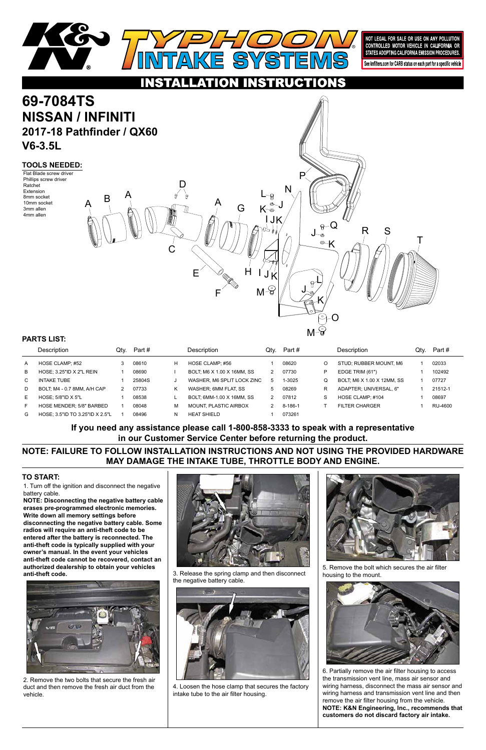

1. Turn off the ignition and disconnect the negative battery cable.

# **69-7084TS NISSAN / INFINITI 2017-18 Pathfinder / QX60 V6-3.5L**

**NOTE: Disconnecting the negative battery cable erases pre-programmed electronic memories. Write down all memory settings before disconnecting the negative battery cable. Some radios will require an anti-theft code to be entered after the battery is reconnected. The anti-theft code is typically supplied with your owner's manual. In the event your vehicles anti-theft code cannot be recovered, contact an authorized dealership to obtain your vehicles anti-theft code.**





#### **TO START:**



NOT LEGAL FOR SALE OR USE ON ANY POLLUTION CONTROLLED MOTOR VEHICLE IN CALIFORNIA OR STATES ADOPTING CALIFORNIA EMISSION PROCEDURES.

See knfilters.com for CARB status on each part for a specific vehicle

# CTIONS

#### **TOOLS NEEDED:**

Flat Blade screw driver Phillips screw driver Ratchet Extension 8mm socket 10mm socket 3mm allen 4mm allen

**NOTE: FAILURE TO FOLLOW INSTALLATION INSTRUCTIONS AND NOT USING THE PROVIDED HARDWARE MAY DAMAGE THE INTAKE TUBE, THROTTLE BODY AND ENGINE.**

**If you need any assistance please call 1-800-858-3333 to speak with a representative in our Customer Service Center before returning the product.**

|    | <b>Description</b>              | Qtv. | Part # |   | Description                | Qtv. | Part #  |   | <b>Description</b>         | Qty. | Part #  |
|----|---------------------------------|------|--------|---|----------------------------|------|---------|---|----------------------------|------|---------|
| A  | HOSE CLAMP; #52                 |      | 08610  | H | HOSE CLAMP: #56            |      | 08620   | O | STUD; RUBBER MOUNT, M6     |      | 02033   |
| B  | HOSE: 3.25"ID X 2"L REIN        |      | 08690  |   | BOLT: M6 X 1.00 X 16MM, SS |      | 07730   | P | EDGE TRIM (61")            |      | 102492  |
| C. | <b>INTAKE TUBE</b>              |      | 25804S |   | WASHER, M6 SPLIT LOCK ZINC | -5   | 1-3025  | Q | BOLT, M6 X 1.00 X 12MM, SS |      | 07727   |
| D  | BOLT, M4 - 0.7 8MM, A/H CAP     | 2    | 07733  | Κ | WASHER: 6MM FLAT. SS       | 5    | 08269   | R | ADAPTER: UNIVERSAL. 6"     |      | 21512-1 |
| Е  | HOSE: $5/8"$ ID X $5"$ L        |      | 08538  |   | BOLT, 6MM-1.00 X 16MM, SS  |      | 07812   | S | HOSE CLAMP: #104           |      | 08697   |
| F  | <b>HOSE MENDER: 5/8" BARBED</b> |      | 08048  | M | MOUNT. PLASTIC AIRBOX      |      | 8-186-1 |   | <b>FILTER CHARGER</b>      |      | RU-4600 |
| G  | HOSE: 3.5"ID TO 3.25"ID X 2.5"L |      | 08496  |   | <b>HEAT SHIELD</b>         |      | 073261  |   |                            |      |         |

#### **PARTS LIST:**



2. Remove the two bolts that secure the fresh air duct and then remove the fresh air duct from the vehicle.

3. Release the spring clamp and then disconnect the negative battery cable.



4. Loosen the hose clamp that secures the factory intake tube to the air filter housing.

5. Remove the bolt which secures the air filter housing to the mount.



6. Partially remove the air filter housing to access the transmission vent line, mass air sensor and wiring harness, disconnect the mass air sensor and wiring harness and transmission vent line and then remove the air filter housing from the vehicle. **NOTE: K&N Engineering, Inc., recommends that customers do not discard factory air intake.**